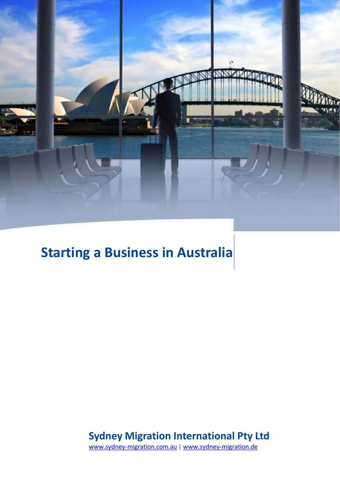

## **Starting a Business in Australia**

**Sydney Migration International Pty Ltd**

[www.sydney-migration.com.au](http://www.sydney-migration.com.au/) | [www.sydney-migration.de](http://www.sydney-migration.de/)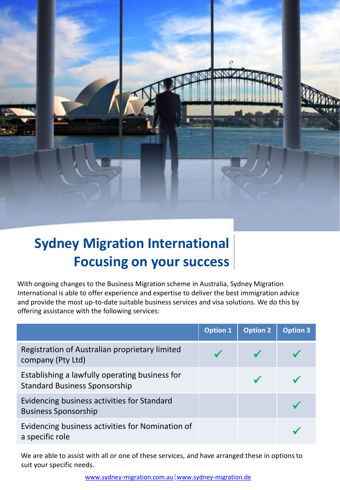

With ongoing changes to the Business Migration scheme in Australia, Sydney Migration International is able to offer experience and expertise to deliver the best immigration advice and provide the most up-to-date suitable business services and visa solutions. We do this by offering assistance with the following services:

|                                                                                        | <b>Option 1</b> | <b>Option 2</b> | <b>Option 3</b> |
|----------------------------------------------------------------------------------------|-----------------|-----------------|-----------------|
| Registration of Australian proprietary limited<br>company (Pty Ltd)                    |                 |                 |                 |
| Establishing a lawfully operating business for<br><b>Standard Business Sponsorship</b> |                 |                 |                 |
| Evidencing business activities for Standard<br><b>Business Sponsorship</b>             |                 |                 |                 |
| Evidencing business activities for Nomination of<br>a specific role                    |                 |                 |                 |

We are able to assist with all or one of these services, and have arranged these in options to suit your specific needs.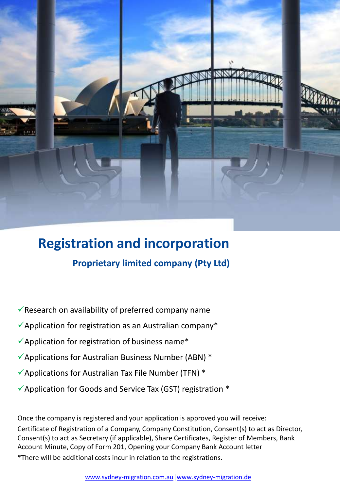

## **Registration and incorporation Proprietary limited company (Pty Ltd)**

- $\checkmark$  Research on availability of preferred company name
- $\checkmark$ Application for registration as an Australian company\*
- $\checkmark$ Application for registration of business name\*
- $\checkmark$ Applications for Australian Business Number (ABN) \*
- $\checkmark$ Applications for Australian Tax File Number (TFN) \*
- $\checkmark$  Application for Goods and Service Tax (GST) registration  $*$

Once the company is registered and your application is approved you will receive: Certificate of Registration of a Company, Company Constitution, Consent(s) to act as Director, Consent(s) to act as Secretary (if applicable), Share Certificates, Register of Members, Bank Account Minute, Copy of Form 201, Opening your Company Bank Account letter \*There will be additional costs incur in relation to the registrations.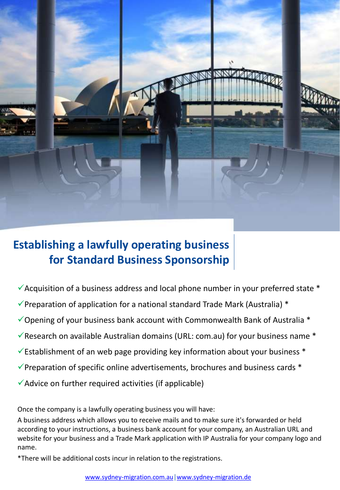

- $\checkmark$  Acquisition of a business address and local phone number in your preferred state  $*$
- $\checkmark$  Preparation of application for a national standard Trade Mark (Australia)  $*$
- $\checkmark$  Opening of your business bank account with Commonwealth Bank of Australia \*
- $\checkmark$  Research on available Australian domains (URL: com.au) for your business name  $\checkmark$
- $\checkmark$  Establishment of an web page providing key information about your business  $*$
- $\checkmark$  Preparation of specific online advertisements, brochures and business cards  $*$
- $\checkmark$  Advice on further required activities (if applicable)

Once the company is a lawfully operating business you will have:

A business address which allows you to receive mails and to make sure it's forwarded or held according to your instructions, a business bank account for your company, an Australian URL and website for your business and a Trade Mark application with IP Australia for your company logo and name.

\*There will be additional costs incur in relation to the registrations.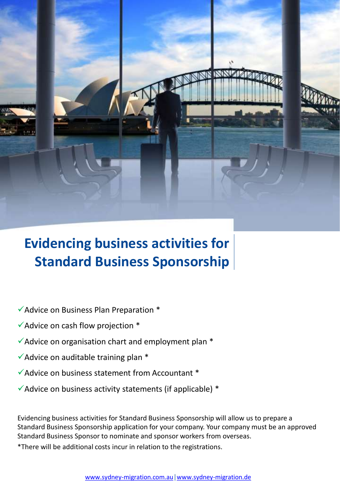

- ✓Advice on Business Plan Preparation \*
- ✓Advice on cash flow projection \*
- ✓Advice on organisation chart and employment plan \*
- $\checkmark$  Advice on auditable training plan  $*$
- $\checkmark$  Advice on business statement from Accountant  $*$
- $\checkmark$  Advice on business activity statements (if applicable)  $*$

Evidencing business activities for Standard Business Sponsorship will allow us to prepare a Standard Business Sponsorship application for your company. Your company must be an approved Standard Business Sponsor to nominate and sponsor workers from overseas. \*There will be additional costs incur in relation to the registrations.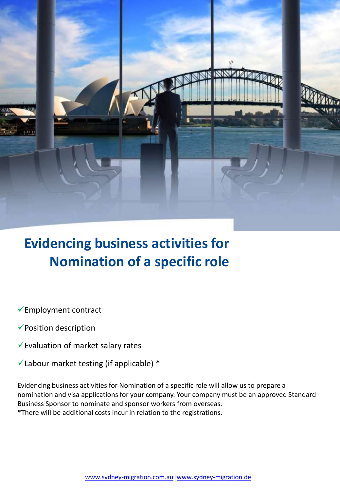

- ✓Employment contract
- ✓Position description
- $\checkmark$  Evaluation of market salary rates
- $\checkmark$  Labour market testing (if applicable) \*

Evidencing business activities for Nomination of a specific role will allow us to prepare a nomination and visa applications for your company. Your company must be an approved Standard Business Sponsor to nominate and sponsor workers from overseas. \*There will be additional costs incur in relation to the registrations.